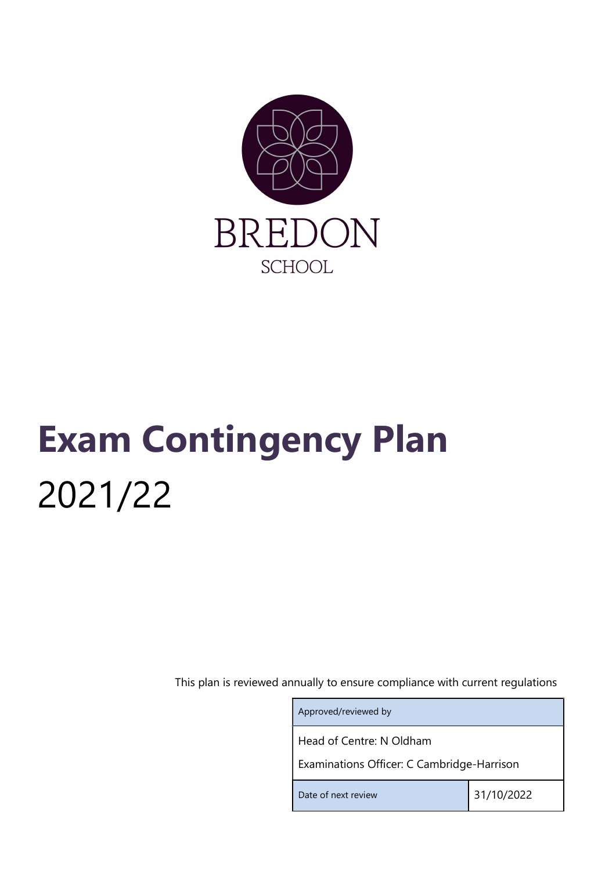

# Exam Contingency Plan 2021/22

This plan is reviewed annually to ensure compliance with current regulations

| Approved/reviewed by                       |            |  |
|--------------------------------------------|------------|--|
| Head of Centre: N Oldham                   |            |  |
| Examinations Officer: C Cambridge-Harrison |            |  |
| Date of next review                        | 31/10/2022 |  |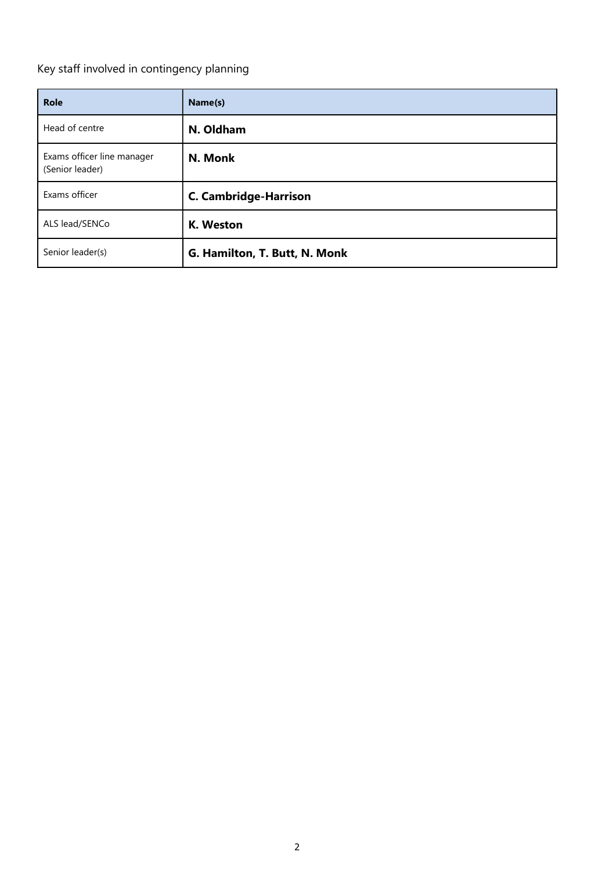Key staff involved in contingency planning

| <b>Role</b>                                   | Name(s)                       |
|-----------------------------------------------|-------------------------------|
| Head of centre                                | N. Oldham                     |
| Exams officer line manager<br>(Senior leader) | N. Monk                       |
| Exams officer                                 | <b>C. Cambridge-Harrison</b>  |
| ALS lead/SENCo                                | K. Weston                     |
| Senior leader(s)                              | G. Hamilton, T. Butt, N. Monk |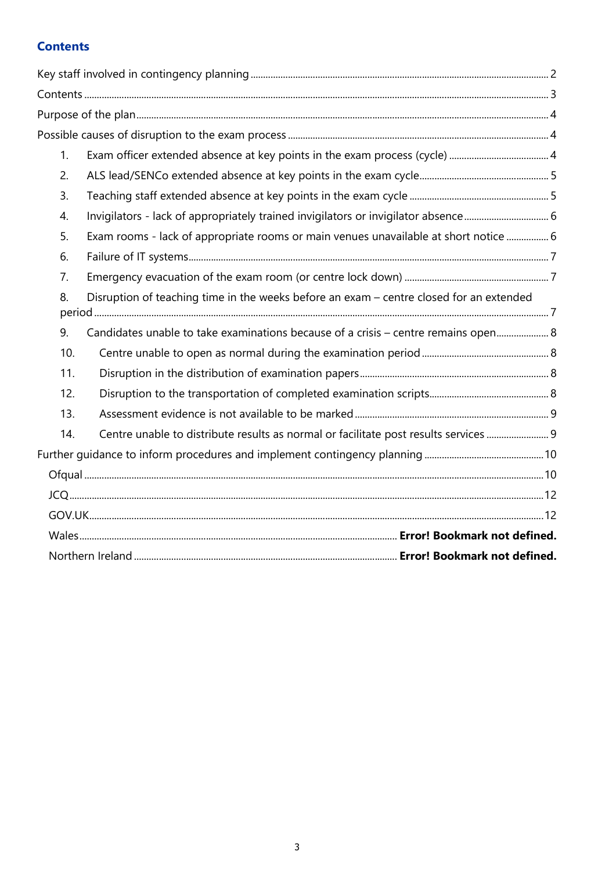# **Contents**

| 1 <sub>1</sub> |                                                                                         |  |
|----------------|-----------------------------------------------------------------------------------------|--|
| 2.             |                                                                                         |  |
| 3.             |                                                                                         |  |
| 4.             | Invigilators - lack of appropriately trained invigilators or invigilator absence 6      |  |
| 5.             | Exam rooms - lack of appropriate rooms or main venues unavailable at short notice  6    |  |
| 6.             |                                                                                         |  |
| 7 <sub>1</sub> |                                                                                         |  |
| 8.             | Disruption of teaching time in the weeks before an exam - centre closed for an extended |  |
| 9.             | Candidates unable to take examinations because of a crisis - centre remains open 8      |  |
| 10.            |                                                                                         |  |
| 11.            |                                                                                         |  |
| 12.            |                                                                                         |  |
| 13.            |                                                                                         |  |
| 14.            | Centre unable to distribute results as normal or facilitate post results services  9    |  |
|                |                                                                                         |  |
|                |                                                                                         |  |
|                |                                                                                         |  |
|                |                                                                                         |  |
|                |                                                                                         |  |
|                |                                                                                         |  |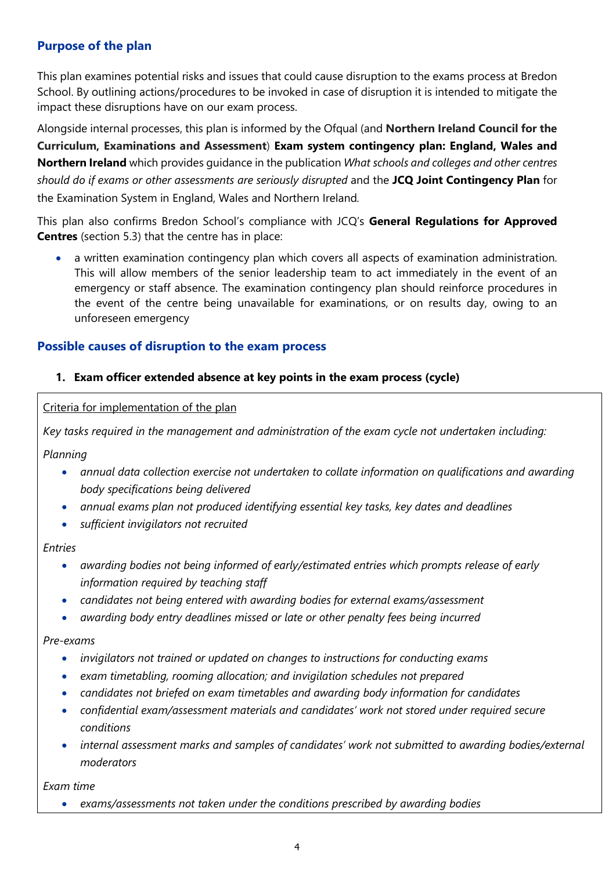# Purpose of the plan

This plan examines potential risks and issues that could cause disruption to the exams process at Bredon School. By outlining actions/procedures to be invoked in case of disruption it is intended to mitigate the impact these disruptions have on our exam process.

Alongside internal processes, this plan is informed by the Ofqual (and Northern Ireland Council for the Curriculum, Examinations and Assessment) Exam system contingency plan: England, Wales and Northern Ireland which provides guidance in the publication What schools and colleges and other centres should do if exams or other assessments are seriously disrupted and the JCQ Joint Contingency Plan for the Examination System in England, Wales and Northern Ireland.

This plan also confirms Bredon School's compliance with JCQ's General Regulations for Approved Centres (section 5.3) that the centre has in place:

 a written examination contingency plan which covers all aspects of examination administration. This will allow members of the senior leadership team to act immediately in the event of an emergency or staff absence. The examination contingency plan should reinforce procedures in the event of the centre being unavailable for examinations, or on results day, owing to an unforeseen emergency

## Possible causes of disruption to the exam process

## 1. Exam officer extended absence at key points in the exam process (cycle)

Criteria for implementation of the plan

Key tasks required in the management and administration of the exam cycle not undertaken including:

Planning

- annual data collection exercise not undertaken to collate information on qualifications and awarding body specifications being delivered
- annual exams plan not produced identifying essential key tasks, key dates and deadlines
- sufficient invigilators not recruited

#### Entries

- awarding bodies not being informed of early/estimated entries which prompts release of early information required by teaching staff
- candidates not being entered with awarding bodies for external exams/assessment
- awarding body entry deadlines missed or late or other penalty fees being incurred

Pre-exams

- invigilators not trained or updated on changes to instructions for conducting exams
- exam timetabling, rooming allocation; and invigilation schedules not prepared
- candidates not briefed on exam timetables and awarding body information for candidates
- confidential exam/assessment materials and candidates' work not stored under required secure conditions
- internal assessment marks and samples of candidates' work not submitted to awarding bodies/external moderators

Exam time

exams/assessments not taken under the conditions prescribed by awarding bodies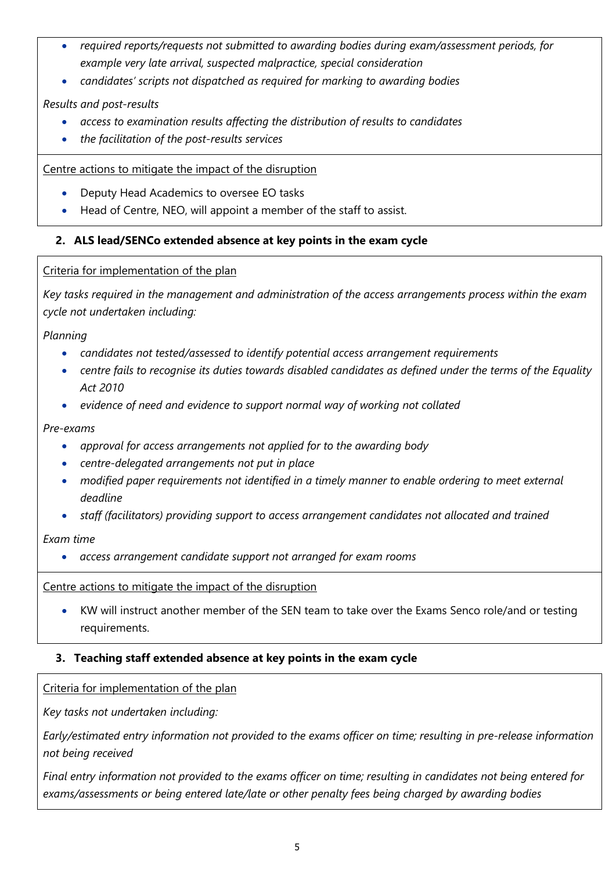- required reports/requests not submitted to awarding bodies during exam/assessment periods, for example very late arrival, suspected malpractice, special consideration
- candidates' scripts not dispatched as required for marking to awarding bodies

# Results and post-results

- access to examination results affecting the distribution of results to candidates
- the facilitation of the post-results services

Centre actions to mitigate the impact of the disruption

- Deputy Head Academics to oversee EO tasks
- Head of Centre, NEO, will appoint a member of the staff to assist.

# 2. ALS lead/SENCo extended absence at key points in the exam cycle

## Criteria for implementation of the plan

Key tasks required in the management and administration of the access arrangements process within the exam cycle not undertaken including:

Planning

- candidates not tested/assessed to identify potential access arrangement requirements
- centre fails to recognise its duties towards disabled candidates as defined under the terms of the Equality Act 2010
- evidence of need and evidence to support normal way of working not collated

Pre-exams

- approval for access arrangements not applied for to the awarding body
- centre-delegated arrangements not put in place
- modified paper requirements not identified in a timely manner to enable ordering to meet external deadline
- staff (facilitators) providing support to access arrangement candidates not allocated and trained

Exam time

access arrangement candidate support not arranged for exam rooms

Centre actions to mitigate the impact of the disruption

 KW will instruct another member of the SEN team to take over the Exams Senco role/and or testing requirements.

# 3. Teaching staff extended absence at key points in the exam cycle

Criteria for implementation of the plan

Key tasks not undertaken including:

Early/estimated entry information not provided to the exams officer on time; resulting in pre-release information not being received

Final entry information not provided to the exams officer on time; resulting in candidates not being entered for exams/assessments or being entered late/late or other penalty fees being charged by awarding bodies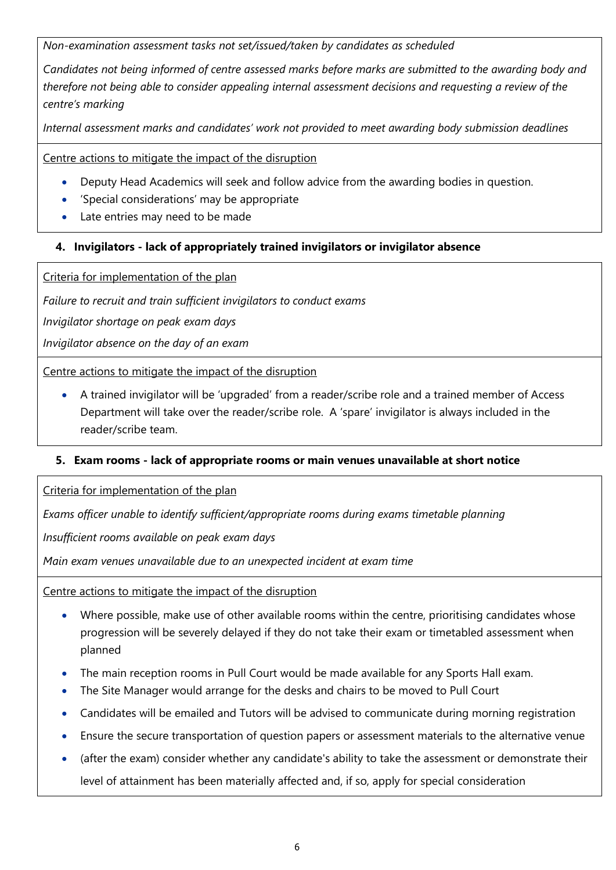Non-examination assessment tasks not set/issued/taken by candidates as scheduled

Candidates not being informed of centre assessed marks before marks are submitted to the awarding body and therefore not being able to consider appealing internal assessment decisions and requesting a review of the centre's marking

Internal assessment marks and candidates' work not provided to meet awarding body submission deadlines

Centre actions to mitigate the impact of the disruption

- Deputy Head Academics will seek and follow advice from the awarding bodies in question.
- 'Special considerations' may be appropriate
- Late entries may need to be made

## 4. Invigilators - lack of appropriately trained invigilators or invigilator absence

Criteria for implementation of the plan

Failure to recruit and train sufficient invigilators to conduct exams

Invigilator shortage on peak exam days

Invigilator absence on the day of an exam

Centre actions to mitigate the impact of the disruption

 A trained invigilator will be 'upgraded' from a reader/scribe role and a trained member of Access Department will take over the reader/scribe role. A 'spare' invigilator is always included in the reader/scribe team.

## 5. Exam rooms - lack of appropriate rooms or main venues unavailable at short notice

Criteria for implementation of the plan

Exams officer unable to identify sufficient/appropriate rooms during exams timetable planning

Insufficient rooms available on peak exam days

Main exam venues unavailable due to an unexpected incident at exam time

Centre actions to mitigate the impact of the disruption

- Where possible, make use of other available rooms within the centre, prioritising candidates whose progression will be severely delayed if they do not take their exam or timetabled assessment when planned
- The main reception rooms in Pull Court would be made available for any Sports Hall exam.
- The Site Manager would arrange for the desks and chairs to be moved to Pull Court
- Candidates will be emailed and Tutors will be advised to communicate during morning registration
- Ensure the secure transportation of question papers or assessment materials to the alternative venue
- (after the exam) consider whether any candidate's ability to take the assessment or demonstrate their level of attainment has been materially affected and, if so, apply for special consideration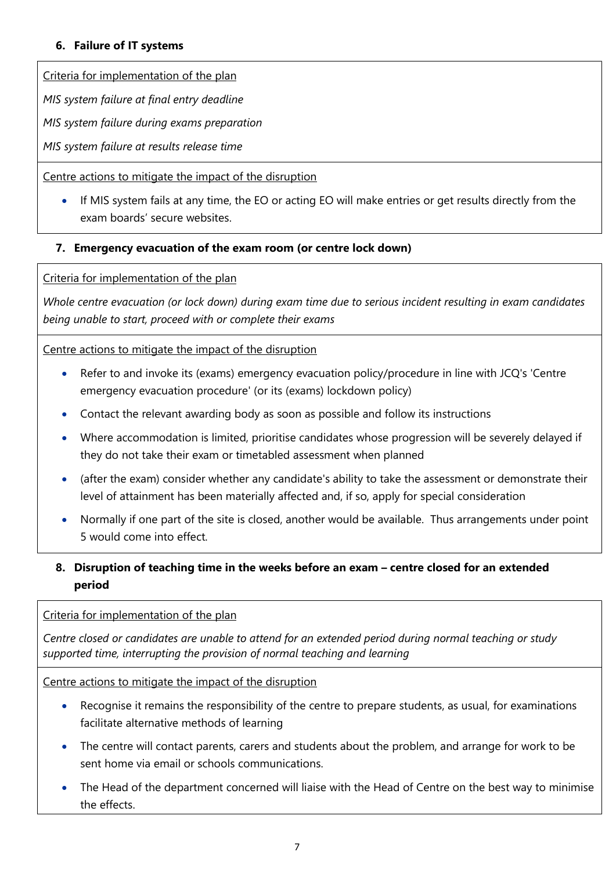## 6. Failure of IT systems

Criteria for implementation of the plan

MIS system failure at final entry deadline

MIS system failure during exams preparation

MIS system failure at results release time

Centre actions to mitigate the impact of the disruption

 If MIS system fails at any time, the EO or acting EO will make entries or get results directly from the exam boards' secure websites.

## 7. Emergency evacuation of the exam room (or centre lock down)

Criteria for implementation of the plan

Whole centre evacuation (or lock down) during exam time due to serious incident resulting in exam candidates being unable to start, proceed with or complete their exams

## Centre actions to mitigate the impact of the disruption

- Refer to and invoke its (exams) emergency evacuation policy/procedure in line with JCQ's 'Centre emergency evacuation procedure' (or its (exams) lockdown policy)
- Contact the relevant awarding body as soon as possible and follow its instructions
- Where accommodation is limited, prioritise candidates whose progression will be severely delayed if they do not take their exam or timetabled assessment when planned
- (after the exam) consider whether any candidate's ability to take the assessment or demonstrate their level of attainment has been materially affected and, if so, apply for special consideration
- Normally if one part of the site is closed, another would be available. Thus arrangements under point 5 would come into effect.

# 8. Disruption of teaching time in the weeks before an exam – centre closed for an extended period

## Criteria for implementation of the plan

Centre closed or candidates are unable to attend for an extended period during normal teaching or study supported time, interrupting the provision of normal teaching and learning

Centre actions to mitigate the impact of the disruption

- Recognise it remains the responsibility of the centre to prepare students, as usual, for examinations facilitate alternative methods of learning
- The centre will contact parents, carers and students about the problem, and arrange for work to be sent home via email or schools communications.
- The Head of the department concerned will liaise with the Head of Centre on the best way to minimise the effects.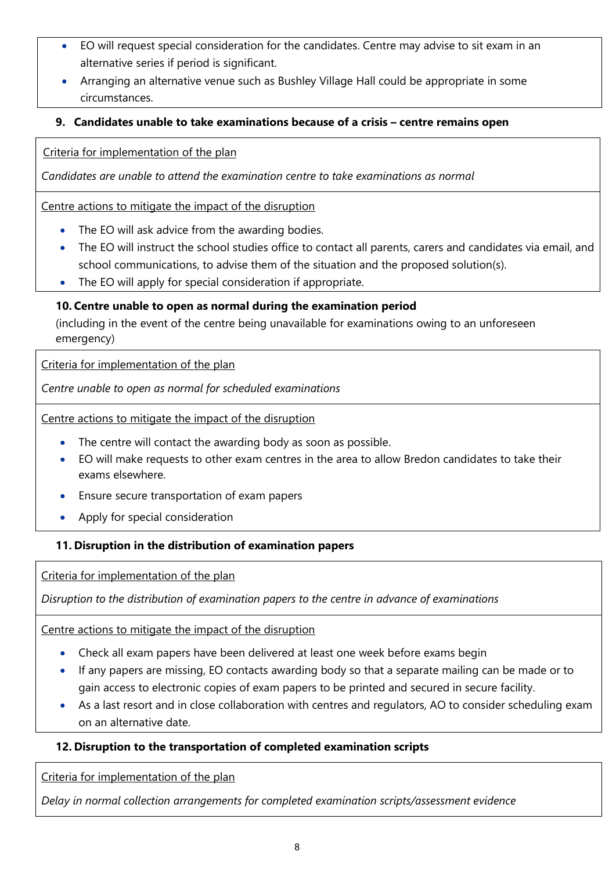- EO will request special consideration for the candidates. Centre may advise to sit exam in an alternative series if period is significant.
- Arranging an alternative venue such as Bushley Village Hall could be appropriate in some circumstances.

# 9. Candidates unable to take examinations because of a crisis – centre remains open

Criteria for implementation of the plan

Candidates are unable to attend the examination centre to take examinations as normal

Centre actions to mitigate the impact of the disruption

- The EO will ask advice from the awarding bodies.
- The EO will instruct the school studies office to contact all parents, carers and candidates via email, and school communications, to advise them of the situation and the proposed solution(s).
- The EO will apply for special consideration if appropriate.

# 10. Centre unable to open as normal during the examination period

(including in the event of the centre being unavailable for examinations owing to an unforeseen emergency)

Criteria for implementation of the plan

Centre unable to open as normal for scheduled examinations

Centre actions to mitigate the impact of the disruption

- The centre will contact the awarding body as soon as possible.
- EO will make requests to other exam centres in the area to allow Bredon candidates to take their exams elsewhere.
- Ensure secure transportation of exam papers
- Apply for special consideration

# 11. Disruption in the distribution of examination papers

Criteria for implementation of the plan

Disruption to the distribution of examination papers to the centre in advance of examinations

Centre actions to mitigate the impact of the disruption

- Check all exam papers have been delivered at least one week before exams begin
- If any papers are missing, EO contacts awarding body so that a separate mailing can be made or to gain access to electronic copies of exam papers to be printed and secured in secure facility.
- As a last resort and in close collaboration with centres and regulators, AO to consider scheduling exam on an alternative date.

# 12. Disruption to the transportation of completed examination scripts

Criteria for implementation of the plan

Delay in normal collection arrangements for completed examination scripts/assessment evidence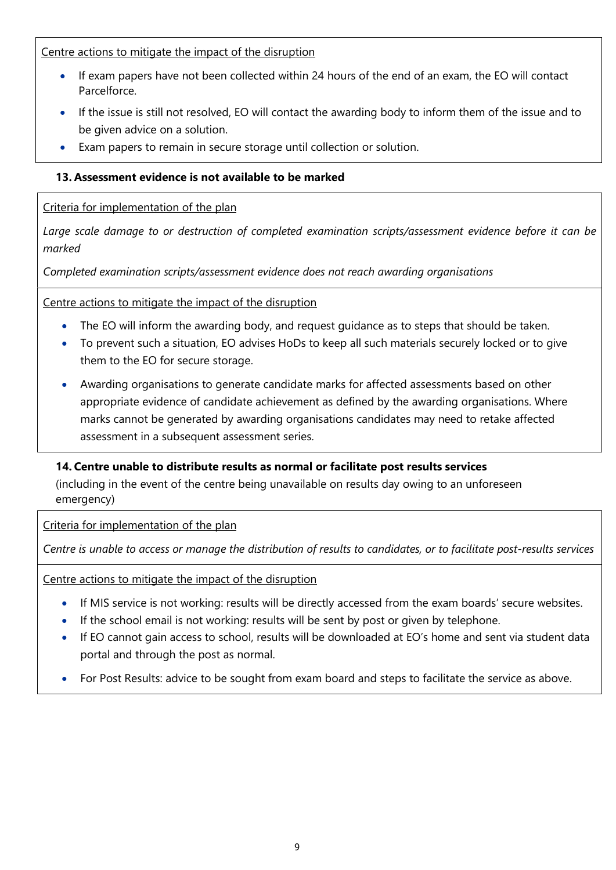Centre actions to mitigate the impact of the disruption

- If exam papers have not been collected within 24 hours of the end of an exam, the EO will contact **Parcelforce**
- If the issue is still not resolved, EO will contact the awarding body to inform them of the issue and to be given advice on a solution.
- Exam papers to remain in secure storage until collection or solution.

# 13. Assessment evidence is not available to be marked

## Criteria for implementation of the plan

Large scale damage to or destruction of completed examination scripts/assessment evidence before it can be marked

Completed examination scripts/assessment evidence does not reach awarding organisations

Centre actions to mitigate the impact of the disruption

- The EO will inform the awarding body, and request quidance as to steps that should be taken.
- To prevent such a situation, EO advises HoDs to keep all such materials securely locked or to give them to the EO for secure storage.
- Awarding organisations to generate candidate marks for affected assessments based on other appropriate evidence of candidate achievement as defined by the awarding organisations. Where marks cannot be generated by awarding organisations candidates may need to retake affected assessment in a subsequent assessment series.

# 14. Centre unable to distribute results as normal or facilitate post results services

(including in the event of the centre being unavailable on results day owing to an unforeseen emergency)

Criteria for implementation of the plan

Centre is unable to access or manage the distribution of results to candidates, or to facilitate post-results services

Centre actions to mitigate the impact of the disruption

- If MIS service is not working: results will be directly accessed from the exam boards' secure websites.
- If the school email is not working: results will be sent by post or given by telephone.
- If EO cannot gain access to school, results will be downloaded at EO's home and sent via student data portal and through the post as normal.
- For Post Results: advice to be sought from exam board and steps to facilitate the service as above.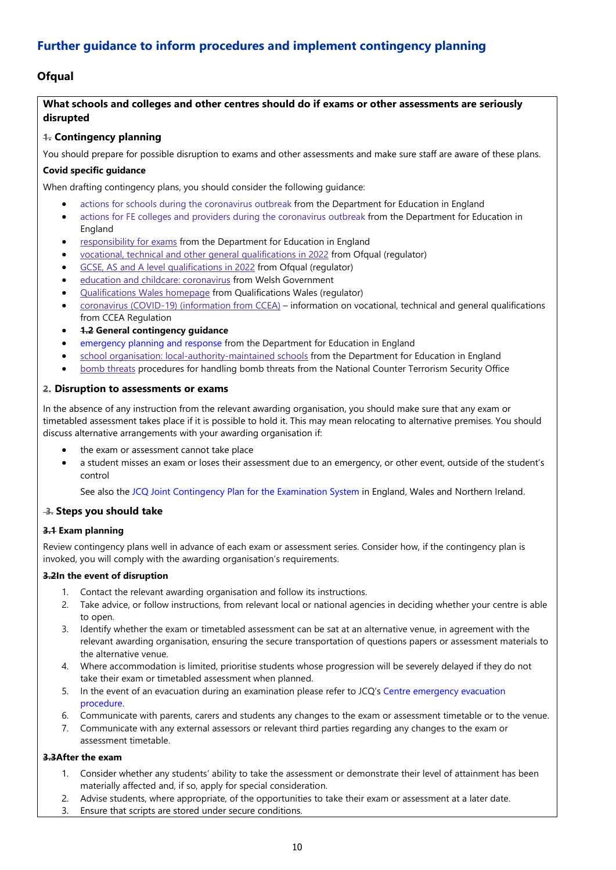# Further guidance to inform procedures and implement contingency planning

## **Ofqual**

## What schools and colleges and other centres should do if exams or other assessments are seriously disrupted

## 1. Contingency planning

You should prepare for possible disruption to exams and other assessments and make sure staff are aware of these plans.

#### Covid specific guidance

When drafting contingency plans, you should consider the following guidance:

- actions for schools during the coronavirus outbreak from the Department for Education in England
- actions for FE colleges and providers during the coronavirus outbreak from the Department for Education in England
- responsibility for exams from the Department for Education in England
- vocational, technical and other general qualifications in 2022 from Ofqual (regulator)
- GCSE, AS and A level qualifications in 2022 from Ofqual (regulator)
- education and childcare: coronavirus from Welsh Government
- Qualifications Wales homepage from Qualifications Wales (regulator)
- coronavirus (COVID-19) (information from CCEA) information on vocational, technical and general qualifications from CCEA Regulation
- 1.2 General contingency guidance
- emergency planning and response from the Department for Education in England
- school organisation: local-authority-maintained schools from the Department for Education in England
- bomb threats procedures for handling bomb threats from the National Counter Terrorism Security Office

#### 2. Disruption to assessments or exams

In the absence of any instruction from the relevant awarding organisation, you should make sure that any exam or timetabled assessment takes place if it is possible to hold it. This may mean relocating to alternative premises. You should discuss alternative arrangements with your awarding organisation if:

- the exam or assessment cannot take place
- a student misses an exam or loses their assessment due to an emergency, or other event, outside of the student's control

See also the JCQ Joint Contingency Plan for the Examination System in England, Wales and Northern Ireland.

#### 3. Steps you should take

#### 3.1 Exam planning

Review contingency plans well in advance of each exam or assessment series. Consider how, if the contingency plan is invoked, you will comply with the awarding organisation's requirements.

#### 3.2In the event of disruption

- 1. Contact the relevant awarding organisation and follow its instructions.
- 2. Take advice, or follow instructions, from relevant local or national agencies in deciding whether your centre is able to open.
- 3. Identify whether the exam or timetabled assessment can be sat at an alternative venue, in agreement with the relevant awarding organisation, ensuring the secure transportation of questions papers or assessment materials to the alternative venue.
- 4. Where accommodation is limited, prioritise students whose progression will be severely delayed if they do not take their exam or timetabled assessment when planned.
- 5. In the event of an evacuation during an examination please refer to JCQ's Centre emergency evacuation procedure.
- 6. Communicate with parents, carers and students any changes to the exam or assessment timetable or to the venue.
- 7. Communicate with any external assessors or relevant third parties regarding any changes to the exam or assessment timetable.

#### 3.3After the exam

- 1. Consider whether any students' ability to take the assessment or demonstrate their level of attainment has been materially affected and, if so, apply for special consideration.
- 2. Advise students, where appropriate, of the opportunities to take their exam or assessment at a later date.
- 3. Ensure that scripts are stored under secure conditions.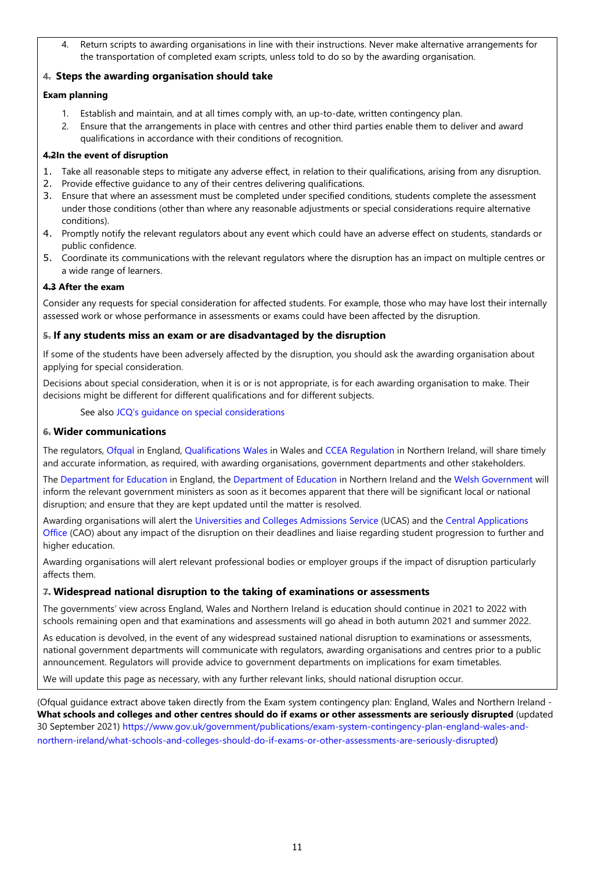4. Return scripts to awarding organisations in line with their instructions. Never make alternative arrangements for the transportation of completed exam scripts, unless told to do so by the awarding organisation.

## 4. Steps the awarding organisation should take

#### Exam planning

- 1. Establish and maintain, and at all times comply with, an up-to-date, written contingency plan.
- 2. Ensure that the arrangements in place with centres and other third parties enable them to deliver and award qualifications in accordance with their conditions of recognition.

#### 4.2In the event of disruption

- 1. Take all reasonable steps to mitigate any adverse effect, in relation to their qualifications, arising from any disruption.
- 2. Provide effective guidance to any of their centres delivering qualifications.
- 3. Ensure that where an assessment must be completed under specified conditions, students complete the assessment under those conditions (other than where any reasonable adjustments or special considerations require alternative conditions).
- 4. Promptly notify the relevant regulators about any event which could have an adverse effect on students, standards or public confidence.
- 5. Coordinate its communications with the relevant regulators where the disruption has an impact on multiple centres or a wide range of learners.

#### 4.3 After the exam

Consider any requests for special consideration for affected students. For example, those who may have lost their internally assessed work or whose performance in assessments or exams could have been affected by the disruption.

#### 5. If any students miss an exam or are disadvantaged by the disruption

If some of the students have been adversely affected by the disruption, you should ask the awarding organisation about applying for special consideration.

Decisions about special consideration, when it is or is not appropriate, is for each awarding organisation to make. Their decisions might be different for different qualifications and for different subjects.

#### See also JCQ's guidance on special considerations

#### 6. Wider communications

The regulators, Ofqual in England, Qualifications Wales in Wales and CCEA Regulation in Northern Ireland, will share timely and accurate information, as required, with awarding organisations, government departments and other stakeholders.

The Department for Education in England, the Department of Education in Northern Ireland and the Welsh Government will inform the relevant government ministers as soon as it becomes apparent that there will be significant local or national disruption; and ensure that they are kept updated until the matter is resolved.

Awarding organisations will alert the Universities and Colleges Admissions Service (UCAS) and the Central Applications Office (CAO) about any impact of the disruption on their deadlines and liaise regarding student progression to further and higher education.

Awarding organisations will alert relevant professional bodies or employer groups if the impact of disruption particularly affects them.

#### 7. Widespread national disruption to the taking of examinations or assessments

The governments' view across England, Wales and Northern Ireland is education should continue in 2021 to 2022 with schools remaining open and that examinations and assessments will go ahead in both autumn 2021 and summer 2022.

As education is devolved, in the event of any widespread sustained national disruption to examinations or assessments, national government departments will communicate with regulators, awarding organisations and centres prior to a public announcement. Regulators will provide advice to government departments on implications for exam timetables.

We will update this page as necessary, with any further relevant links, should national disruption occur.

(Ofqual guidance extract above taken directly from the Exam system contingency plan: England, Wales and Northern Ireland - What schools and colleges and other centres should do if exams or other assessments are seriously disrupted (updated 30 September 2021) https://www.gov.uk/government/publications/exam-system-contingency-plan-england-wales-andnorthern-ireland/what-schools-and-colleges-should-do-if-exams-or-other-assessments-are-seriously-disrupted)